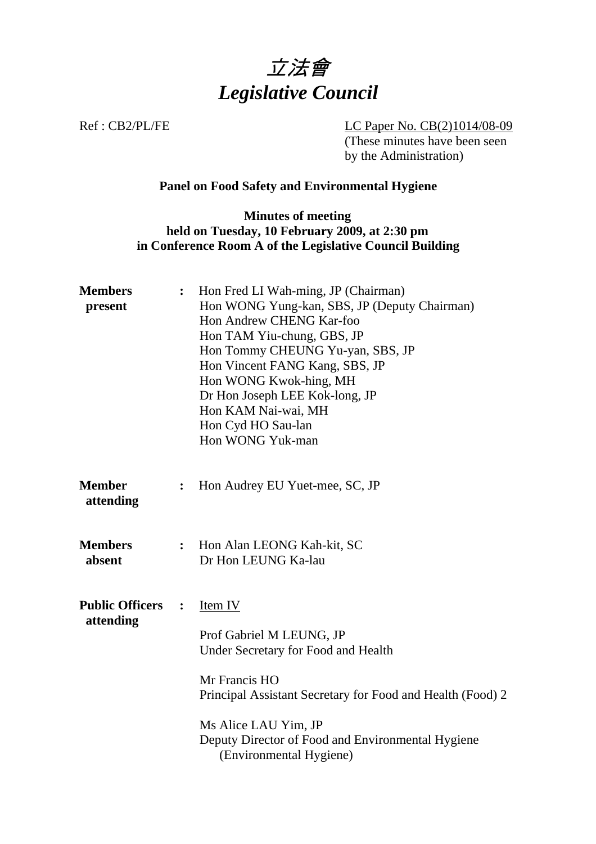

Ref : CB2/PL/FE LC Paper No. CB(2)1014/08-09  $\overline{(\text{These minutes have been seen})}$ by the Administration)

### **Panel on Food Safety and Environmental Hygiene**

### **Minutes of meeting held on Tuesday, 10 February 2009, at 2:30 pm in Conference Room A of the Legislative Council Building**

| <b>Members</b><br>present           | $\ddot{\cdot}$ | Hon Fred LI Wah-ming, JP (Chairman)<br>Hon WONG Yung-kan, SBS, JP (Deputy Chairman)<br>Hon Andrew CHENG Kar-foo<br>Hon TAM Yiu-chung, GBS, JP<br>Hon Tommy CHEUNG Yu-yan, SBS, JP<br>Hon Vincent FANG Kang, SBS, JP<br>Hon WONG Kwok-hing, MH<br>Dr Hon Joseph LEE Kok-long, JP<br>Hon KAM Nai-wai, MH<br>Hon Cyd HO Sau-lan<br>Hon WONG Yuk-man |
|-------------------------------------|----------------|--------------------------------------------------------------------------------------------------------------------------------------------------------------------------------------------------------------------------------------------------------------------------------------------------------------------------------------------------|
| <b>Member</b><br>attending          | $\ddot{\cdot}$ | Hon Audrey EU Yuet-mee, SC, JP                                                                                                                                                                                                                                                                                                                   |
| <b>Members</b><br>absent            | $\ddot{\cdot}$ | Hon Alan LEONG Kah-kit, SC<br>Dr Hon LEUNG Ka-lau                                                                                                                                                                                                                                                                                                |
| <b>Public Officers</b><br>attending | $\ddot{\cdot}$ | Item IV<br>Prof Gabriel M LEUNG, JP<br>Under Secretary for Food and Health<br>Mr Francis HO<br>Principal Assistant Secretary for Food and Health (Food) 2<br>Ms Alice LAU Yim, JP<br>Deputy Director of Food and Environmental Hygiene<br>(Environmental Hygiene)                                                                                |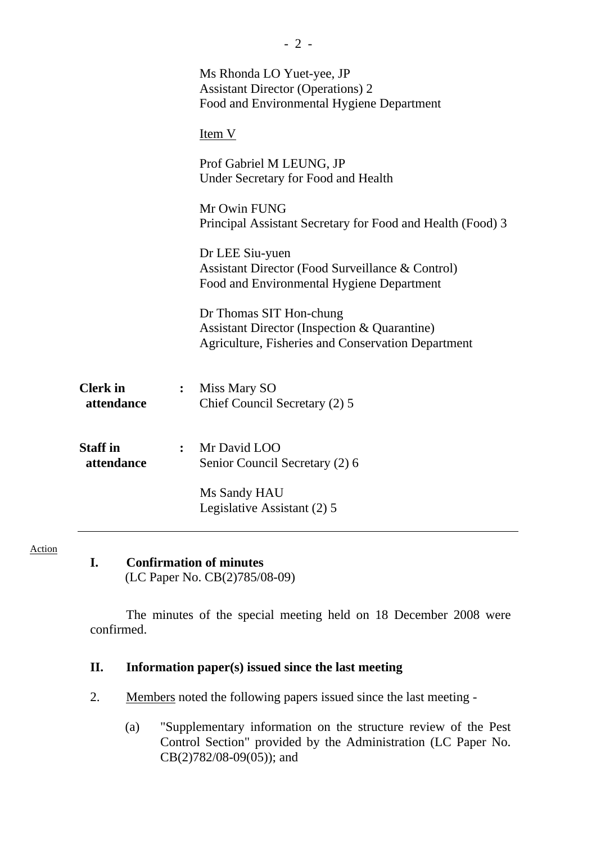|                               | Ms Rhonda LO Yuet-yee, JP<br><b>Assistant Director (Operations) 2</b><br>Food and Environmental Hygiene Department                       |
|-------------------------------|------------------------------------------------------------------------------------------------------------------------------------------|
|                               | Item V                                                                                                                                   |
|                               | Prof Gabriel M LEUNG, JP<br>Under Secretary for Food and Health                                                                          |
|                               | Mr Owin FUNG<br>Principal Assistant Secretary for Food and Health (Food) 3                                                               |
|                               | Dr LEE Siu-yuen<br>Assistant Director (Food Surveillance & Control)<br>Food and Environmental Hygiene Department                         |
|                               | Dr Thomas SIT Hon-chung<br><b>Assistant Director (Inspection &amp; Quarantine)</b><br>Agriculture, Fisheries and Conservation Department |
| <b>Clerk</b> in<br>attendance | Miss Mary SO<br>$\overset{\bullet}{\bullet}$<br>Chief Council Secretary (2) 5                                                            |
| <b>Staff</b> in<br>attendance | : Mr David LOO<br>Senior Council Secretary (2) 6                                                                                         |
|                               | Ms Sandy HAU<br>Legislative Assistant (2) 5                                                                                              |

Action

**I. Confirmation of minutes**  (LC Paper No. CB(2)785/08-09)

The minutes of the special meeting held on 18 December 2008 were confirmed.

### **II. Information paper(s) issued since the last meeting**

- 2. Members noted the following papers issued since the last meeting
	- (a) "Supplementary information on the structure review of the Pest Control Section" provided by the Administration (LC Paper No.  $CB(2)782/08-09(05)$ ; and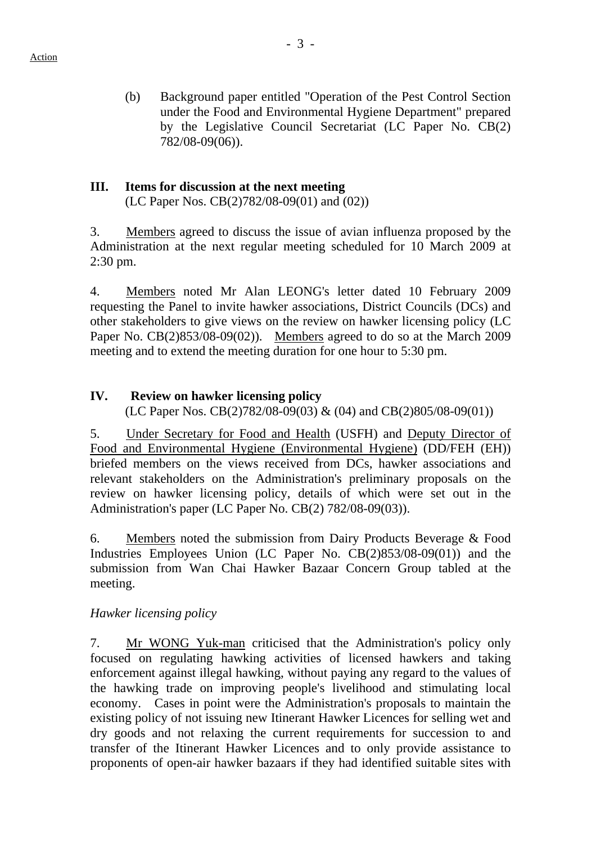- (b) Background paper entitled "Operation of the Pest Control Section
- under the Food and Environmental Hygiene Department" prepared by the Legislative Council Secretariat (LC Paper No. CB(2) 782/08-09(06)).

## **III. Items for discussion at the next meeting**

(LC Paper Nos. CB(2)782/08-09(01) and (02))

3. Members agreed to discuss the issue of avian influenza proposed by the Administration at the next regular meeting scheduled for 10 March 2009 at 2:30 pm.

4. Members noted Mr Alan LEONG's letter dated 10 February 2009 requesting the Panel to invite hawker associations, District Councils (DCs) and other stakeholders to give views on the review on hawker licensing policy (LC Paper No. CB(2)853/08-09(02)). Members agreed to do so at the March 2009 meeting and to extend the meeting duration for one hour to 5:30 pm.

# **IV. Review on hawker licensing policy**

(LC Paper Nos. CB(2)782/08-09(03) & (04) and CB(2)805/08-09(01))

5. Under Secretary for Food and Health (USFH) and Deputy Director of Food and Environmental Hygiene (Environmental Hygiene) (DD/FEH (EH)) briefed members on the views received from DCs, hawker associations and relevant stakeholders on the Administration's preliminary proposals on the review on hawker licensing policy, details of which were set out in the Administration's paper (LC Paper No. CB(2) 782/08-09(03)).

6. Members noted the submission from Dairy Products Beverage & Food Industries Employees Union (LC Paper No. CB(2)853/08-09(01)) and the submission from Wan Chai Hawker Bazaar Concern Group tabled at the meeting.

### *Hawker licensing policy*

7. Mr WONG Yuk-man criticised that the Administration's policy only focused on regulating hawking activities of licensed hawkers and taking enforcement against illegal hawking, without paying any regard to the values of the hawking trade on improving people's livelihood and stimulating local economy. Cases in point were the Administration's proposals to maintain the existing policy of not issuing new Itinerant Hawker Licences for selling wet and dry goods and not relaxing the current requirements for succession to and transfer of the Itinerant Hawker Licences and to only provide assistance to proponents of open-air hawker bazaars if they had identified suitable sites with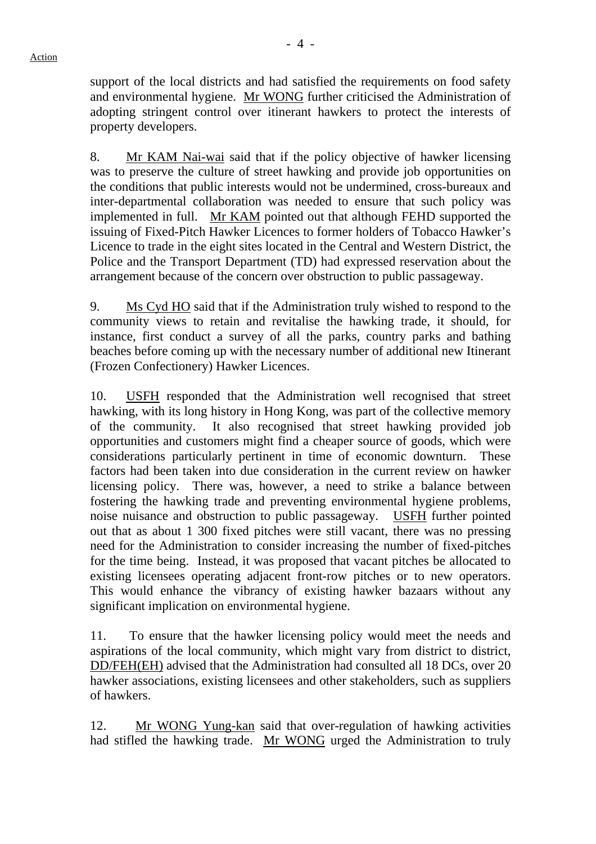support of the local districts and had satisfied the requirements on food safety and environmental hygiene. Mr WONG further criticised the Administration of adopting stringent control over itinerant hawkers to protect the interests of property developers.

8. Mr KAM Nai-wai said that if the policy objective of hawker licensing was to preserve the culture of street hawking and provide job opportunities on the conditions that public interests would not be undermined, cross-bureaux and inter-departmental collaboration was needed to ensure that such policy was implemented in full. Mr KAM pointed out that although FEHD supported the issuing of Fixed-Pitch Hawker Licences to former holders of Tobacco Hawker's Licence to trade in the eight sites located in the Central and Western District, the Police and the Transport Department (TD) had expressed reservation about the arrangement because of the concern over obstruction to public passageway.

9. Ms Cyd HO said that if the Administration truly wished to respond to the community views to retain and revitalise the hawking trade, it should, for instance, first conduct a survey of all the parks, country parks and bathing beaches before coming up with the necessary number of additional new Itinerant (Frozen Confectionery) Hawker Licences.

10. USFH responded that the Administration well recognised that street hawking, with its long history in Hong Kong, was part of the collective memory of the community. It also recognised that street hawking provided job opportunities and customers might find a cheaper source of goods, which were considerations particularly pertinent in time of economic downturn. These factors had been taken into due consideration in the current review on hawker licensing policy. There was, however, a need to strike a balance between fostering the hawking trade and preventing environmental hygiene problems, noise nuisance and obstruction to public passageway. USFH further pointed out that as about 1 300 fixed pitches were still vacant, there was no pressing need for the Administration to consider increasing the number of fixed-pitches for the time being. Instead, it was proposed that vacant pitches be allocated to existing licensees operating adjacent front-row pitches or to new operators. This would enhance the vibrancy of existing hawker bazaars without any significant implication on environmental hygiene.

11. To ensure that the hawker licensing policy would meet the needs and aspirations of the local community, which might vary from district to district, DD/FEH(EH) advised that the Administration had consulted all 18 DCs, over 20 hawker associations, existing licensees and other stakeholders, such as suppliers of hawkers.

12. Mr WONG Yung-kan said that over-regulation of hawking activities had stifled the hawking trade. Mr WONG urged the Administration to truly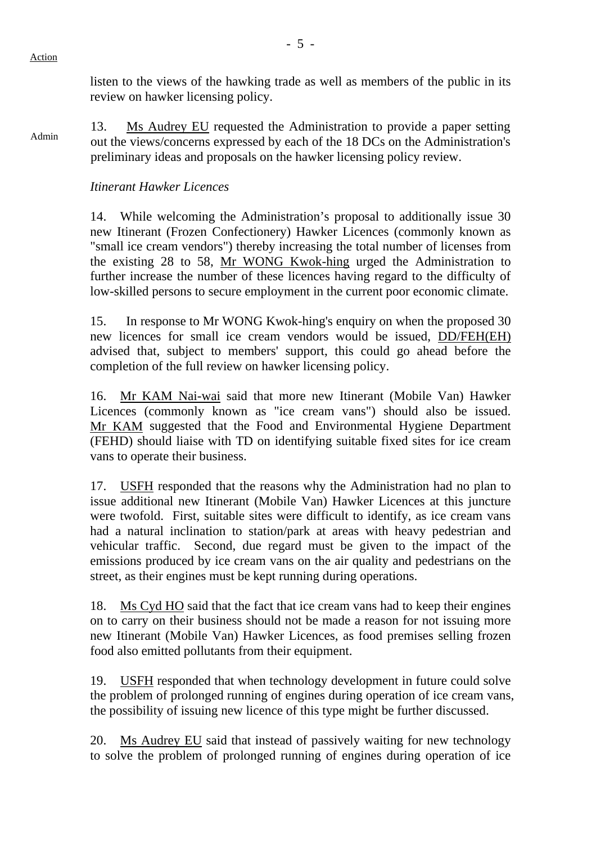listen to the views of the hawking trade as well as members of the public in its review on hawker licensing policy.

13. Ms Audrey EU requested the Administration to provide a paper setting out the views/concerns expressed by each of the 18 DCs on the Administration's preliminary ideas and proposals on the hawker licensing policy review.

# *Itinerant Hawker Licences*

14. While welcoming the Administration's proposal to additionally issue 30 new Itinerant (Frozen Confectionery) Hawker Licences (commonly known as "small ice cream vendors") thereby increasing the total number of licenses from the existing 28 to 58, Mr WONG Kwok-hing urged the Administration to further increase the number of these licences having regard to the difficulty of low-skilled persons to secure employment in the current poor economic climate.

15. In response to Mr WONG Kwok-hing's enquiry on when the proposed 30 new licences for small ice cream vendors would be issued, DD/FEH(EH) advised that, subject to members' support, this could go ahead before the completion of the full review on hawker licensing policy.

16. Mr KAM Nai-wai said that more new Itinerant (Mobile Van) Hawker Licences (commonly known as "ice cream vans") should also be issued. Mr KAM suggested that the Food and Environmental Hygiene Department (FEHD) should liaise with TD on identifying suitable fixed sites for ice cream vans to operate their business.

17. USFH responded that the reasons why the Administration had no plan to issue additional new Itinerant (Mobile Van) Hawker Licences at this juncture were twofold. First, suitable sites were difficult to identify, as ice cream vans had a natural inclination to station/park at areas with heavy pedestrian and vehicular traffic. Second, due regard must be given to the impact of the emissions produced by ice cream vans on the air quality and pedestrians on the street, as their engines must be kept running during operations.

18. Ms Cyd HO said that the fact that ice cream vans had to keep their engines on to carry on their business should not be made a reason for not issuing more new Itinerant (Mobile Van) Hawker Licences, as food premises selling frozen food also emitted pollutants from their equipment.

19. USFH responded that when technology development in future could solve the problem of prolonged running of engines during operation of ice cream vans, the possibility of issuing new licence of this type might be further discussed.

20. Ms Audrey EU said that instead of passively waiting for new technology to solve the problem of prolonged running of engines during operation of ice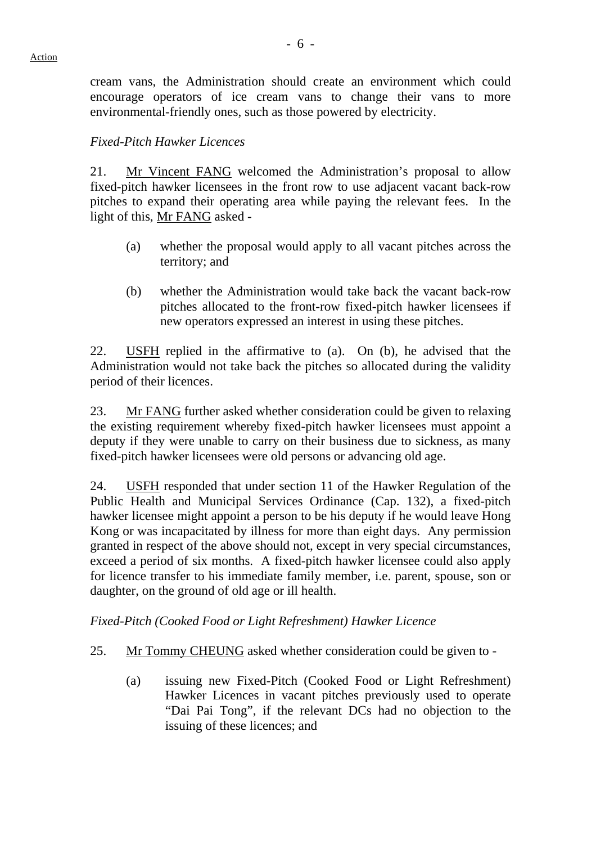cream vans, the Administration should create an environment which could encourage operators of ice cream vans to change their vans to more environmental-friendly ones, such as those powered by electricity.

### *Fixed-Pitch Hawker Licences*

21. Mr Vincent FANG welcomed the Administration's proposal to allow fixed-pitch hawker licensees in the front row to use adjacent vacant back-row pitches to expand their operating area while paying the relevant fees. In the light of this, Mr FANG asked -

- (a) whether the proposal would apply to all vacant pitches across the territory; and
- (b) whether the Administration would take back the vacant back-row pitches allocated to the front-row fixed-pitch hawker licensees if new operators expressed an interest in using these pitches.

22. USFH replied in the affirmative to (a). On (b), he advised that the Administration would not take back the pitches so allocated during the validity period of their licences.

23. Mr FANG further asked whether consideration could be given to relaxing the existing requirement whereby fixed-pitch hawker licensees must appoint a deputy if they were unable to carry on their business due to sickness, as many fixed-pitch hawker licensees were old persons or advancing old age.

24. USFH responded that under section 11 of the Hawker Regulation of the Public Health and Municipal Services Ordinance (Cap. 132), a fixed-pitch hawker licensee might appoint a person to be his deputy if he would leave Hong Kong or was incapacitated by illness for more than eight days. Any permission granted in respect of the above should not, except in very special circumstances, exceed a period of six months. A fixed-pitch hawker licensee could also apply for licence transfer to his immediate family member, i.e. parent, spouse, son or daughter, on the ground of old age or ill health.

#### *Fixed-Pitch (Cooked Food or Light Refreshment) Hawker Licence*

- 25. Mr Tommy CHEUNG asked whether consideration could be given to
	- (a) issuing new Fixed-Pitch (Cooked Food or Light Refreshment) Hawker Licences in vacant pitches previously used to operate "Dai Pai Tong", if the relevant DCs had no objection to the issuing of these licences; and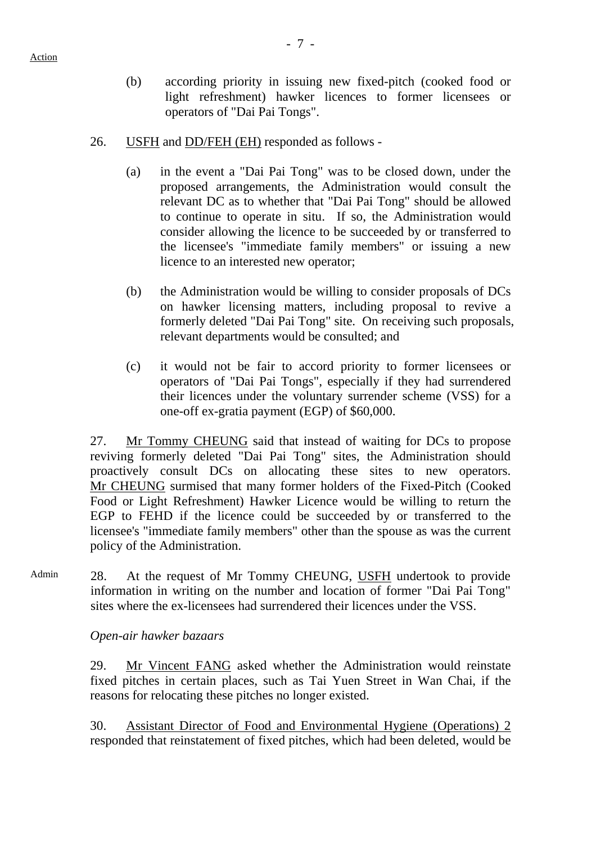- (b) according priority in issuing new fixed-pitch (cooked food or
	- light refreshment) hawker licences to former licensees or operators of "Dai Pai Tongs".
- 26. USFH and DD/FEH (EH) responded as follows
	- (a) in the event a "Dai Pai Tong" was to be closed down, under the proposed arrangements, the Administration would consult the relevant DC as to whether that "Dai Pai Tong" should be allowed to continue to operate in situ. If so, the Administration would consider allowing the licence to be succeeded by or transferred to the licensee's "immediate family members" or issuing a new licence to an interested new operator;
	- (b) the Administration would be willing to consider proposals of DCs on hawker licensing matters, including proposal to revive a formerly deleted "Dai Pai Tong" site. On receiving such proposals, relevant departments would be consulted; and
	- (c) it would not be fair to accord priority to former licensees or operators of "Dai Pai Tongs", especially if they had surrendered their licences under the voluntary surrender scheme (VSS) for a one-off ex-gratia payment (EGP) of \$60,000.

27. Mr Tommy CHEUNG said that instead of waiting for DCs to propose reviving formerly deleted "Dai Pai Tong" sites, the Administration should proactively consult DCs on allocating these sites to new operators. Mr CHEUNG surmised that many former holders of the Fixed-Pitch (Cooked Food or Light Refreshment) Hawker Licence would be willing to return the EGP to FEHD if the licence could be succeeded by or transferred to the licensee's "immediate family members" other than the spouse as was the current policy of the Administration.

Admin 28. At the request of Mr Tommy CHEUNG, USFH undertook to provide information in writing on the number and location of former "Dai Pai Tong" sites where the ex-licensees had surrendered their licences under the VSS.

*Open-air hawker bazaars* 

29. Mr Vincent FANG asked whether the Administration would reinstate fixed pitches in certain places, such as Tai Yuen Street in Wan Chai, if the reasons for relocating these pitches no longer existed.

30. Assistant Director of Food and Environmental Hygiene (Operations) 2 responded that reinstatement of fixed pitches, which had been deleted, would be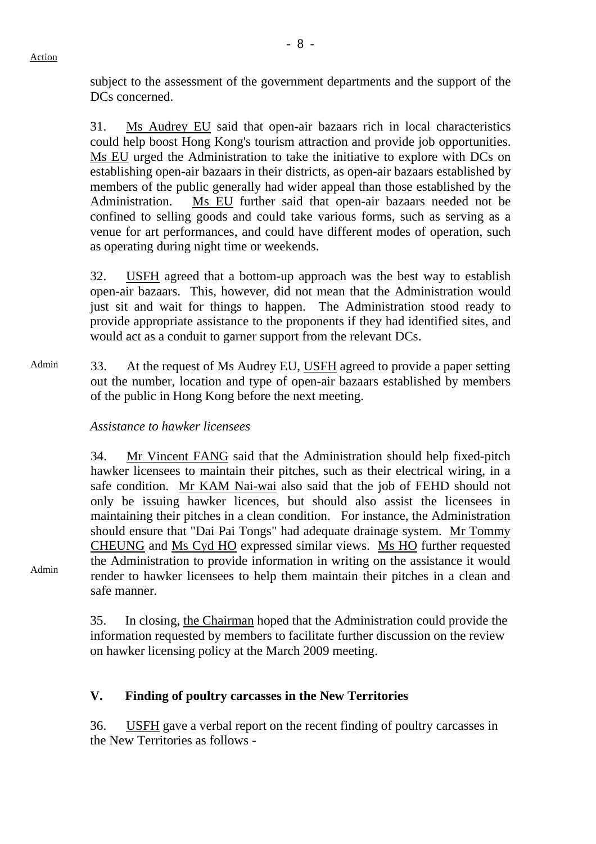Action

subject to the assessment of the government departments and the support of the DC<sub>s</sub> concerned.

31. Ms Audrey EU said that open-air bazaars rich in local characteristics could help boost Hong Kong's tourism attraction and provide job opportunities. Ms EU urged the Administration to take the initiative to explore with DCs on establishing open-air bazaars in their districts, as open-air bazaars established by members of the public generally had wider appeal than those established by the Administration. Ms EU further said that open-air bazaars needed not be confined to selling goods and could take various forms, such as serving as a venue for art performances, and could have different modes of operation, such as operating during night time or weekends.

32. USFH agreed that a bottom-up approach was the best way to establish open-air bazaars. This, however, did not mean that the Administration would just sit and wait for things to happen. The Administration stood ready to provide appropriate assistance to the proponents if they had identified sites, and would act as a conduit to garner support from the relevant DCs.

Admin 33. At the request of Ms Audrey EU, USFH agreed to provide a paper setting out the number, location and type of open-air bazaars established by members of the public in Hong Kong before the next meeting.

#### *Assistance to hawker licensees*

34. Mr Vincent FANG said that the Administration should help fixed-pitch hawker licensees to maintain their pitches, such as their electrical wiring, in a safe condition. Mr KAM Nai-wai also said that the job of FEHD should not only be issuing hawker licences, but should also assist the licensees in maintaining their pitches in a clean condition. For instance, the Administration should ensure that "Dai Pai Tongs" had adequate drainage system. Mr Tommy CHEUNG and Ms Cyd HO expressed similar views. Ms HO further requested the Administration to provide information in writing on the assistance it would render to hawker licensees to help them maintain their pitches in a clean and safe manner.

Admin

35. In closing, the Chairman hoped that the Administration could provide the information requested by members to facilitate further discussion on the review on hawker licensing policy at the March 2009 meeting.

#### **V. Finding of poultry carcasses in the New Territories**

36. USFH gave a verbal report on the recent finding of poultry carcasses in the New Territories as follows -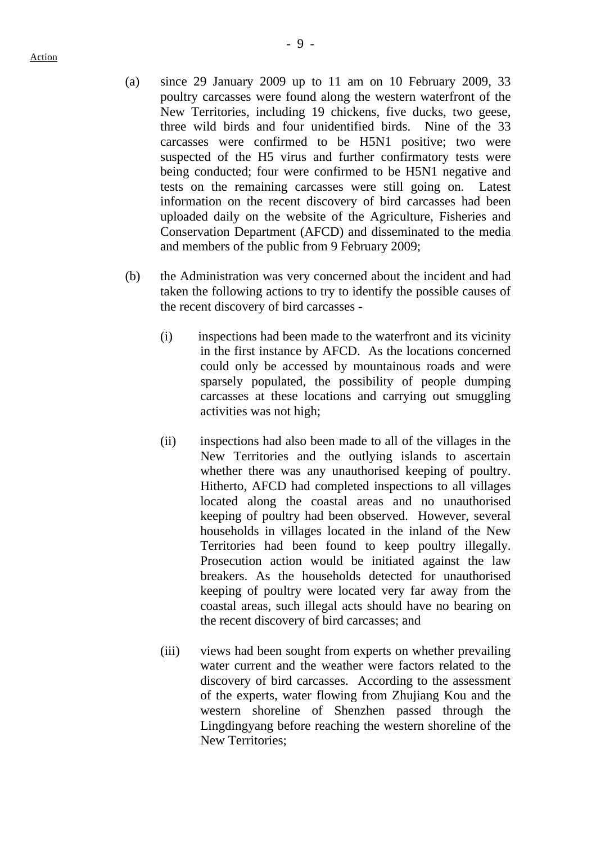- (a) since 29 January 2009 up to 11 am on 10 February 2009, 33 poultry carcasses were found along the western waterfront of the New Territories, including 19 chickens, five ducks, two geese, three wild birds and four unidentified birds. Nine of the 33 carcasses were confirmed to be H5N1 positive; two were suspected of the H5 virus and further confirmatory tests were being conducted; four were confirmed to be H5N1 negative and tests on the remaining carcasses were still going on. Latest information on the recent discovery of bird carcasses had been uploaded daily on the website of the Agriculture, Fisheries and Conservation Department (AFCD) and disseminated to the media and members of the public from 9 February 2009;
- (b) the Administration was very concerned about the incident and had taken the following actions to try to identify the possible causes of the recent discovery of bird carcasses -
	- (i) inspections had been made to the waterfront and its vicinity in the first instance by AFCD. As the locations concerned could only be accessed by mountainous roads and were sparsely populated, the possibility of people dumping carcasses at these locations and carrying out smuggling activities was not high;
	- (ii) inspections had also been made to all of the villages in the New Territories and the outlying islands to ascertain whether there was any unauthorised keeping of poultry. Hitherto, AFCD had completed inspections to all villages located along the coastal areas and no unauthorised keeping of poultry had been observed. However, several households in villages located in the inland of the New Territories had been found to keep poultry illegally. Prosecution action would be initiated against the law breakers. As the households detected for unauthorised keeping of poultry were located very far away from the coastal areas, such illegal acts should have no bearing on the recent discovery of bird carcasses; and
	- (iii) views had been sought from experts on whether prevailing water current and the weather were factors related to the discovery of bird carcasses. According to the assessment of the experts, water flowing from Zhujiang Kou and the western shoreline of Shenzhen passed through the Lingdingyang before reaching the western shoreline of the New Territories;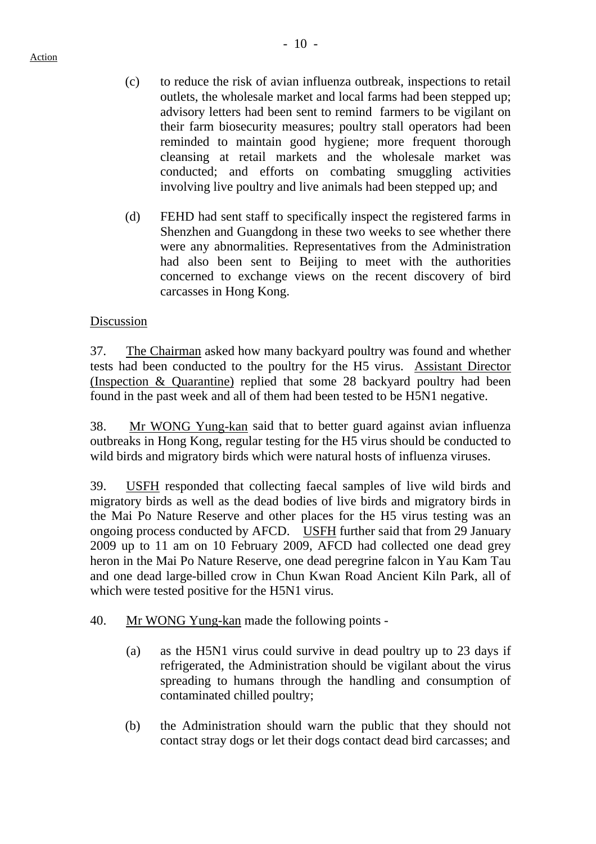- (c) to reduce the risk of avian influenza outbreak, inspections to retail outlets, the wholesale market and local farms had been stepped up; advisory letters had been sent to remind farmers to be vigilant on their farm biosecurity measures; poultry stall operators had been reminded to maintain good hygiene; more frequent thorough cleansing at retail markets and the wholesale market was conducted; and efforts on combating smuggling activities involving live poultry and live animals had been stepped up; and
- (d) FEHD had sent staff to specifically inspect the registered farms in Shenzhen and Guangdong in these two weeks to see whether there were any abnormalities. Representatives from the Administration had also been sent to Beijing to meet with the authorities concerned to exchange views on the recent discovery of bird carcasses in Hong Kong.

#### Discussion

37. The Chairman asked how many backyard poultry was found and whether tests had been conducted to the poultry for the H5 virus. Assistant Director (Inspection & Quarantine) replied that some 28 backyard poultry had been found in the past week and all of them had been tested to be H5N1 negative.

38. Mr WONG Yung-kan said that to better guard against avian influenza outbreaks in Hong Kong, regular testing for the H5 virus should be conducted to wild birds and migratory birds which were natural hosts of influenza viruses.

39. USFH responded that collecting faecal samples of live wild birds and migratory birds as well as the dead bodies of live birds and migratory birds in the Mai Po Nature Reserve and other places for the H5 virus testing was an ongoing process conducted by AFCD. USFH further said that from 29 January 2009 up to 11 am on 10 February 2009, AFCD had collected one dead grey heron in the Mai Po Nature Reserve, one dead peregrine falcon in Yau Kam Tau and one dead large-billed crow in Chun Kwan Road Ancient Kiln Park, all of which were tested positive for the H5N1 virus.

- 40. Mr WONG Yung-kan made the following points
	- (a) as the H5N1 virus could survive in dead poultry up to 23 days if refrigerated, the Administration should be vigilant about the virus spreading to humans through the handling and consumption of contaminated chilled poultry;
	- (b) the Administration should warn the public that they should not contact stray dogs or let their dogs contact dead bird carcasses; and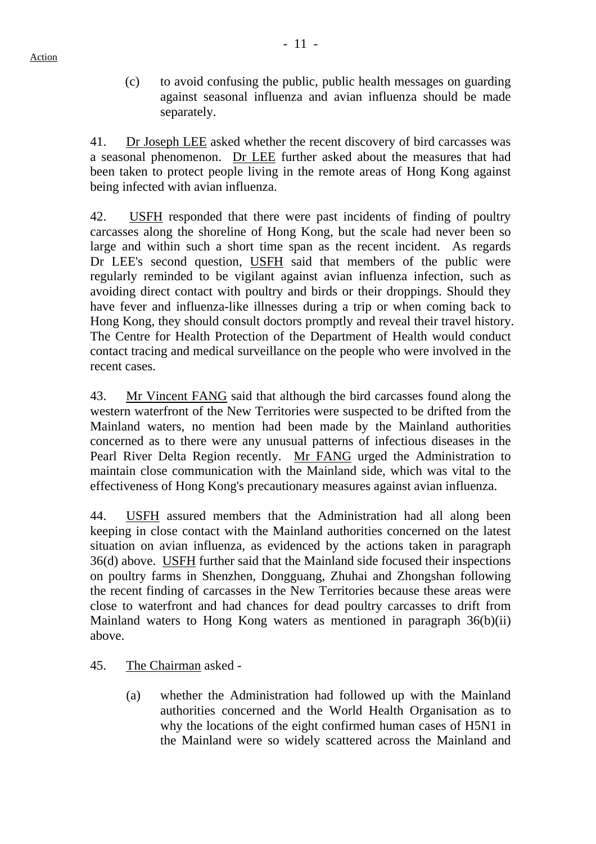(c) to avoid confusing the public, public health messages on guarding against seasonal influenza and avian influenza should be made separately.

41. Dr Joseph LEE asked whether the recent discovery of bird carcasses was a seasonal phenomenon. Dr LEE further asked about the measures that had been taken to protect people living in the remote areas of Hong Kong against being infected with avian influenza.

42. USFH responded that there were past incidents of finding of poultry carcasses along the shoreline of Hong Kong, but the scale had never been so large and within such a short time span as the recent incident. As regards Dr LEE's second question, USFH said that members of the public were regularly reminded to be vigilant against avian influenza infection, such as avoiding direct contact with poultry and birds or their droppings. Should they have fever and influenza-like illnesses during a trip or when coming back to Hong Kong, they should consult doctors promptly and reveal their travel history. The Centre for Health Protection of the Department of Health would conduct contact tracing and medical surveillance on the people who were involved in the recent cases.

43. Mr Vincent FANG said that although the bird carcasses found along the western waterfront of the New Territories were suspected to be drifted from the Mainland waters, no mention had been made by the Mainland authorities concerned as to there were any unusual patterns of infectious diseases in the Pearl River Delta Region recently. Mr FANG urged the Administration to maintain close communication with the Mainland side, which was vital to the effectiveness of Hong Kong's precautionary measures against avian influenza.

44. USFH assured members that the Administration had all along been keeping in close contact with the Mainland authorities concerned on the latest situation on avian influenza, as evidenced by the actions taken in paragraph 36(d) above. USFH further said that the Mainland side focused their inspections on poultry farms in Shenzhen, Dongguang, Zhuhai and Zhongshan following the recent finding of carcasses in the New Territories because these areas were close to waterfront and had chances for dead poultry carcasses to drift from Mainland waters to Hong Kong waters as mentioned in paragraph 36(b)(ii) above.

- 45. The Chairman asked
	- (a) whether the Administration had followed up with the Mainland authorities concerned and the World Health Organisation as to why the locations of the eight confirmed human cases of H5N1 in the Mainland were so widely scattered across the Mainland and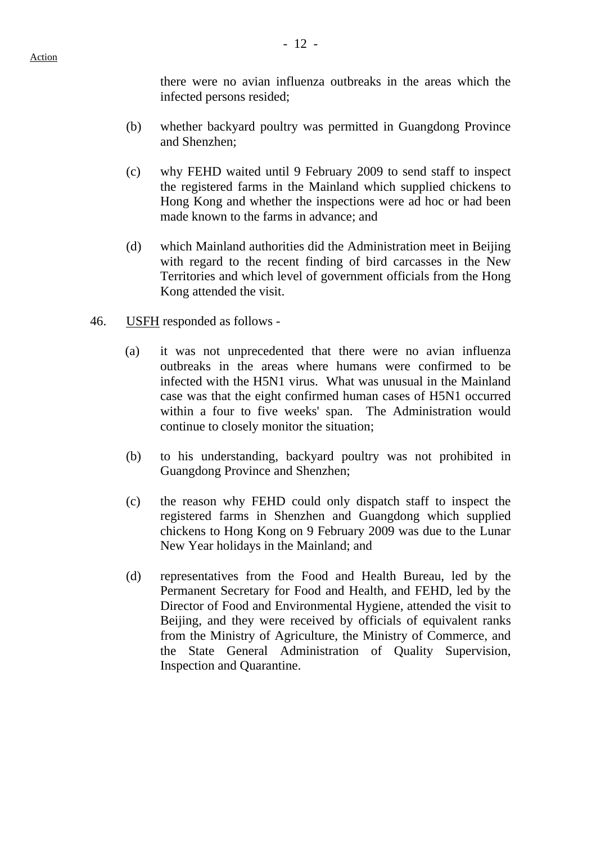there were no avian influenza outbreaks in the areas which the infected persons resided;

- (b) whether backyard poultry was permitted in Guangdong Province and Shenzhen;
- (c) why FEHD waited until 9 February 2009 to send staff to inspect the registered farms in the Mainland which supplied chickens to Hong Kong and whether the inspections were ad hoc or had been made known to the farms in advance; and
- (d) which Mainland authorities did the Administration meet in Beijing with regard to the recent finding of bird carcasses in the New Territories and which level of government officials from the Hong Kong attended the visit.
- 46. USFH responded as follows
	- (a) it was not unprecedented that there were no avian influenza outbreaks in the areas where humans were confirmed to be infected with the H5N1 virus. What was unusual in the Mainland case was that the eight confirmed human cases of H5N1 occurred within a four to five weeks' span. The Administration would continue to closely monitor the situation;
	- (b) to his understanding, backyard poultry was not prohibited in Guangdong Province and Shenzhen;
	- (c) the reason why FEHD could only dispatch staff to inspect the registered farms in Shenzhen and Guangdong which supplied chickens to Hong Kong on 9 February 2009 was due to the Lunar New Year holidays in the Mainland; and
	- (d) representatives from the Food and Health Bureau, led by the Permanent Secretary for Food and Health, and FEHD, led by the Director of Food and Environmental Hygiene, attended the visit to Beijing, and they were received by officials of equivalent ranks from the Ministry of Agriculture, the Ministry of Commerce, and the State General Administration of Quality Supervision, Inspection and Quarantine.